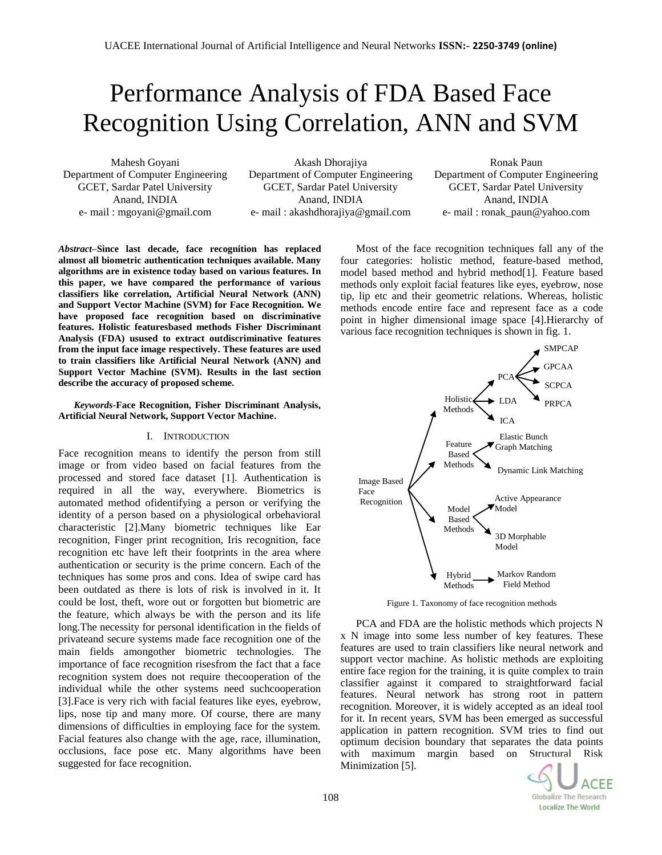# Performance Analysis of FDA Based Face Recognition Using Correlation, ANN and SVM

Mahesh Goyani Department of Computer Engineering GCET, Sardar Patel University Anand, INDIA e- mail : mgoyani@gmail.com

Akash Dhorajiya Department of Computer Engineering GCET, Sardar Patel University Anand, INDIA e- mail : akashdhorajiya@gmail.com

Ronak Paun Department of Computer Engineering GCET, Sardar Patel University Anand, INDIA e- mail : ronak\_paun@yahoo.com

*Abstract***–Since last decade, face recognition has replaced almost all biometric authentication techniques available. Many algorithms are in existence today based on various features. In this paper, we have compared the performance of various classifiers like correlation, Artificial Neural Network (ANN) and Support Vector Machine (SVM) for Face Recognition. We have proposed face recognition based on discriminative features. Holistic featuresbased methods Fisher Discriminant Analysis (FDA) usused to extract outdiscriminative features from the input face image respectively. These features are used to train classifiers like Artificial Neural Network (ANN) and Support Vector Machine (SVM). Results in the last section describe the accuracy of proposed scheme.**

# *Keywords-***Face Recognition, Fisher Discriminant Analysis, Artificial Neural Network, Support Vector Machine.**

# I. INTRODUCTION

Face recognition means to identify the person from still image or from video based on facial features from the processed and stored face dataset [1]. Authentication is required in all the way, everywhere. Biometrics is automated method ofidentifying a person or verifying the identity of a person based on a physiological orbehavioral characteristic [2].Many biometric techniques like Ear recognition, Finger print recognition, Iris recognition, face recognition etc have left their footprints in the area where authentication or security is the prime concern. Each of the techniques has some pros and cons. Idea of swipe card has been outdated as there is lots of risk is involved in it. It could be lost, theft, wore out or forgotten but biometric are the feature, which always be with the person and its life long.The necessity for personal identification in the fields of privateand secure systems made face recognition one of the main fields amongother biometric technologies. The importance of face recognition risesfrom the fact that a face recognition system does not require thecooperation of the individual while the other systems need suchcooperation [3].Face is very rich with facial features like eyes, eyebrow, lips, nose tip and many more. Of course, there are many dimensions of difficulties in employing face for the system. Facial features also change with the age, race, illumination, occlusions, face pose etc. Many algorithms have been suggested for face recognition.

Most of the face recognition techniques fall any of the four categories: holistic method, feature-based method, model based method and hybrid method[1]. Feature based methods only exploit facial features like eyes, eyebrow, nose tip, lip etc and their geometric relations. Whereas, holistic methods encode entire face and represent face as a code point in higher dimensional image space [4].Hierarchy of various face recognition techniques is shown in fig. 1.



Figure 1. Taxonomy of face recognition methods

PCA and FDA are the holistic methods which projects N x N image into some less number of key features. These features are used to train classifiers like neural network and support vector machine. As holistic methods are exploiting entire face region for the training, it is quite complex to train classifier against it compared to straightforward facial features. Neural network has strong root in pattern recognition. Moreover, it is widely accepted as an ideal tool for it. In recent years, SVM has been emerged as successful application in pattern recognition. SVM tries to find out optimum decision boundary that separates the data points with maximum margin based on Structural Risk Minimization [5].

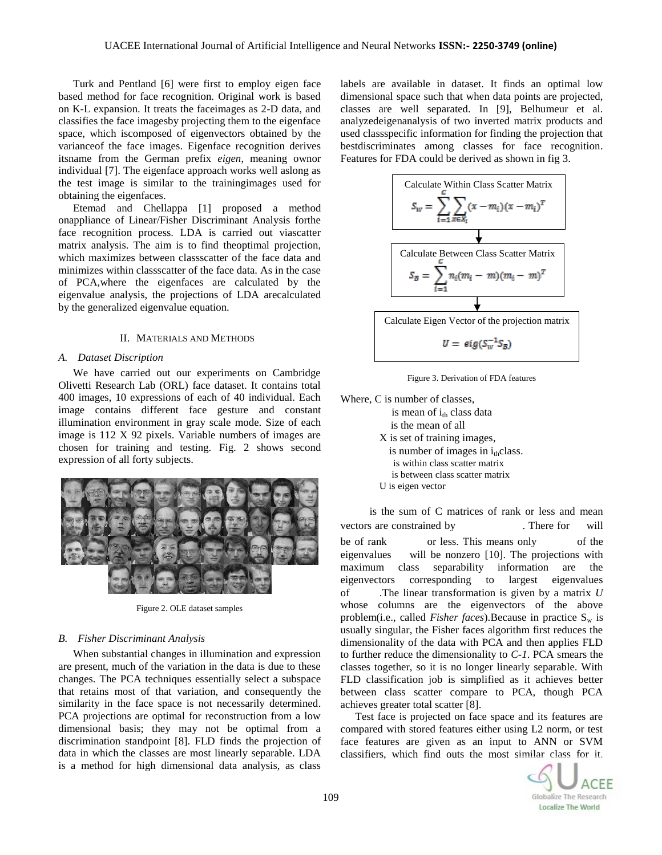Turk and Pentland [6] were first to employ eigen face based method for face recognition. Original work is based on K-L expansion. It treats the faceimages as 2-D data, and classifies the face imagesby projecting them to the eigenface space, which iscomposed of eigenvectors obtained by the varianceof the face images. Eigenface recognition derives itsname from the German prefix *eigen*, meaning ownor individual [7]. The eigenface approach works well aslong as the test image is similar to the trainingimages used for obtaining the eigenfaces.

Etemad and Chellappa [1] proposed a method onappliance of Linear/Fisher Discriminant Analysis forthe face recognition process. LDA is carried out viascatter matrix analysis. The aim is to find theoptimal projection, which maximizes between classscatter of the face data and minimizes within classscatter of the face data. As in the case of PCA,where the eigenfaces are calculated by the eigenvalue analysis, the projections of LDA arecalculated by the generalized eigenvalue equation.

## II. MATERIALS AND METHODS

#### *A. Dataset Discription*

We have carried out our experiments on Cambridge Olivetti Research Lab (ORL) face dataset. It contains total 400 images, 10 expressions of each of 40 individual. Each image contains different face gesture and constant illumination environment in gray scale mode. Size of each image is 112 X 92 pixels. Variable numbers of images are chosen for training and testing. Fig. 2 shows second expression of all forty subjects.



Figure 2. OLE dataset samples

## *B. Fisher Discriminant Analysis*

When substantial changes in illumination and expression are present, much of the variation in the data is due to these changes. The PCA techniques essentially select a subspace that retains most of that variation, and consequently the similarity in the face space is not necessarily determined. PCA projections are optimal for reconstruction from a low dimensional basis; they may not be optimal from a discrimination standpoint [8]. FLD finds the projection of data in which the classes are most linearly separable. LDA is a method for high dimensional data analysis, as class labels are available in dataset. It finds an optimal low dimensional space such that when data points are projected, classes are well separated. In [9], Belhumeur et al. analyzedeigenanalysis of two inverted matrix products and used classspecific information for finding the projection that bestdiscriminates among classes for face recognition. Features for FDA could be derived as shown in fig 3.



Figure 3. Derivation of FDA features

Where, C is number of classes,

is mean of  $i_{th}$  class data is the mean of all X is set of training images, is number of images in  $i_{th}$ class. is within class scatter matrix is between class scatter matrix U is eigen vector

is the sum of C matrices of rank or less and mean vectors are constrained by There for will be of rank or less. This means only of the eigenvalues will be nonzero [10]. The projections with maximum class separability information are the eigenvectors corresponding to largest eigenvalues of .The linear transformation is given by a matrix *U*  whose columns are the eigenvectors of the above problem(i.e., called *Fisher faces*).Because in practice S<sub>w</sub> is usually singular, the Fisher faces algorithm first reduces the dimensionality of the data with PCA and then applies FLD to further reduce the dimensionality to *C-1*. PCA smears the classes together, so it is no longer linearly separable. With FLD classification job is simplified as it achieves better between class scatter compare to PCA, though PCA achieves greater total scatter [8].

Test face is projected on face space and its features are compared with stored features either using L2 norm, or test face features are given as an input to ANN or SVM classifiers, which find outs the most similar class for it.

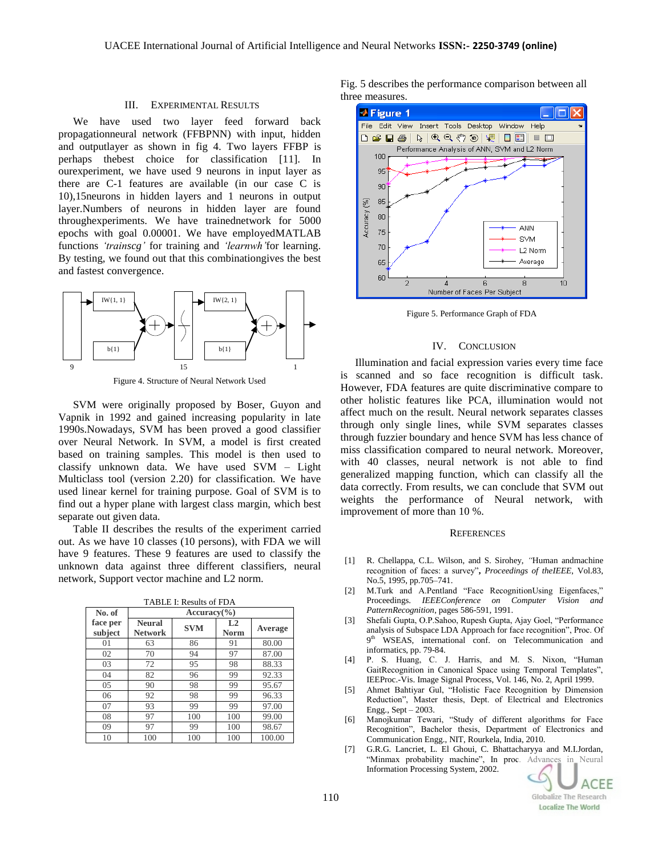#### III. EXPERIMENTAL RESULTS

We have used two layer feed forward back propagationneural network (FFBPNN) with input, hidden and outputlayer as shown in fig 4. Two layers FFBP is perhaps thebest choice for classification [11]. In ourexperiment, we have used 9 neurons in input layer as there are C-1 features are available (in our case C is 10),15neurons in hidden layers and 1 neurons in output layer.Numbers of neurons in hidden layer are found throughexperiments. We have trainednetwork for 5000 epochs with goal 0.00001. We have employedMATLAB functions *'trainscg'* for training and *'learnwh'*for learning. By testing, we found out that this combinationgives the best and fastest convergence.



Figure 4. Structure of Neural Network Used

SVM were originally proposed by Boser, Guyon and Vapnik in 1992 and gained increasing popularity in late 1990s.Nowadays, SVM has been proved a good classifier over Neural Network. In SVM, a model is first created based on training samples. This model is then used to classify unknown data. We have used SVM – Light Multiclass tool (version 2.20) for classification. We have used linear kernel for training purpose. Goal of SVM is to find out a hyper plane with largest class margin, which best separate out given data.

Table II describes the results of the experiment carried out. As we have 10 classes (10 persons), with FDA we will have 9 features. These 9 features are used to classify the unknown data against three different classifiers, neural network, Support vector machine and L2 norm.

| No. of              | $Accuracy$ <sup>(%)</sup>       |            |                               |         |
|---------------------|---------------------------------|------------|-------------------------------|---------|
| face per<br>subject | <b>Neural</b><br><b>Network</b> | <b>SVM</b> | L <sub>2</sub><br><b>Norm</b> | Average |
| 01                  | 63                              | 86         | 91                            | 80.00   |
| 02                  | 70                              | 94         | 97                            | 87.00   |
| 03                  | 72                              | 95         | 98                            | 88.33   |
| 04                  | 82                              | 96         | 99                            | 92.33   |
| 05                  | 90                              | 98         | 99                            | 95.67   |
| 06                  | 92                              | 98         | 99                            | 96.33   |
| 07                  | 93                              | 99         | 99                            | 97.00   |
| 08                  | 97                              | 100        | 100                           | 99.00   |
| 09                  | 97                              | 99         | 100                           | 98.67   |
| 10                  | 100                             | 100        | 100                           | 100.00  |

TABLE I: Results of FDA

Fig. 5 describes the performance comparison between all three measures.



Figure 5. Performance Graph of FDA

#### IV. CONCLUSION

Illumination and facial expression varies every time face is scanned and so face recognition is difficult task. However, FDA features are quite discriminative compare to other holistic features like PCA, illumination would not affect much on the result. Neural network separates classes through only single lines, while SVM separates classes through fuzzier boundary and hence SVM has less chance of miss classification compared to neural network. Moreover, with 40 classes, neural network is not able to find generalized mapping function, which can classify all the data correctly. From results, we can conclude that SVM out weights the performance of Neural network, with improvement of more than 10 %.

# **REFERENCES**

- [1] R. Chellappa, C.L. Wilson, and S. Sirohey, *"*Human andmachine recognition of faces: a survey"**,** *Proceedings of theIEEE*, Vol.83, No.5, 1995, pp.705–741.
- [2] M.Turk and A.Pentland "Face RecognitionUsing Eigenfaces," Proceedings. *IEEEConference on Computer Vision and PatternRecognition*, pages 586-591, 1991.
- [3] Shefali Gupta, O.P.Sahoo, Rupesh Gupta, Ajay Goel, "Performance analysis of Subspace LDA Approach for face recognition", Proc. Of 9<sup>th</sup> WSEAS, international conf. on Telecommunication and informatics, pp. 79-84.
- [4] P. S. Huang, C. J. Harris, and M. S. Nixon, "Human GaitRecognition in Canonical Space using Temporal Templates", IEEProc.-Vis. Image Signal Process, Vol. 146, No. 2, April 1999.
- [5] Ahmet Bahtiyar Gul, "Holistic Face Recognition by Dimension Reduction", Master thesis, Dept. of Electrical and Electronics Engg., Sept – 2003.
- [6] Manojkumar Tewari, "Study of different algorithms for Face Recognition", Bachelor thesis, Department of Electronics and Communication Engg., NIT, Rourkela, India, 2010.
- [7] G.R.G. Lancriet, L. El Ghoui, C. Bhattacharyya and M.I.Jordan, "Minmax probability machine", In proc. Advances in Neural Information Processing System, 2002.

ACEE Globalize The Research **Localize The World**